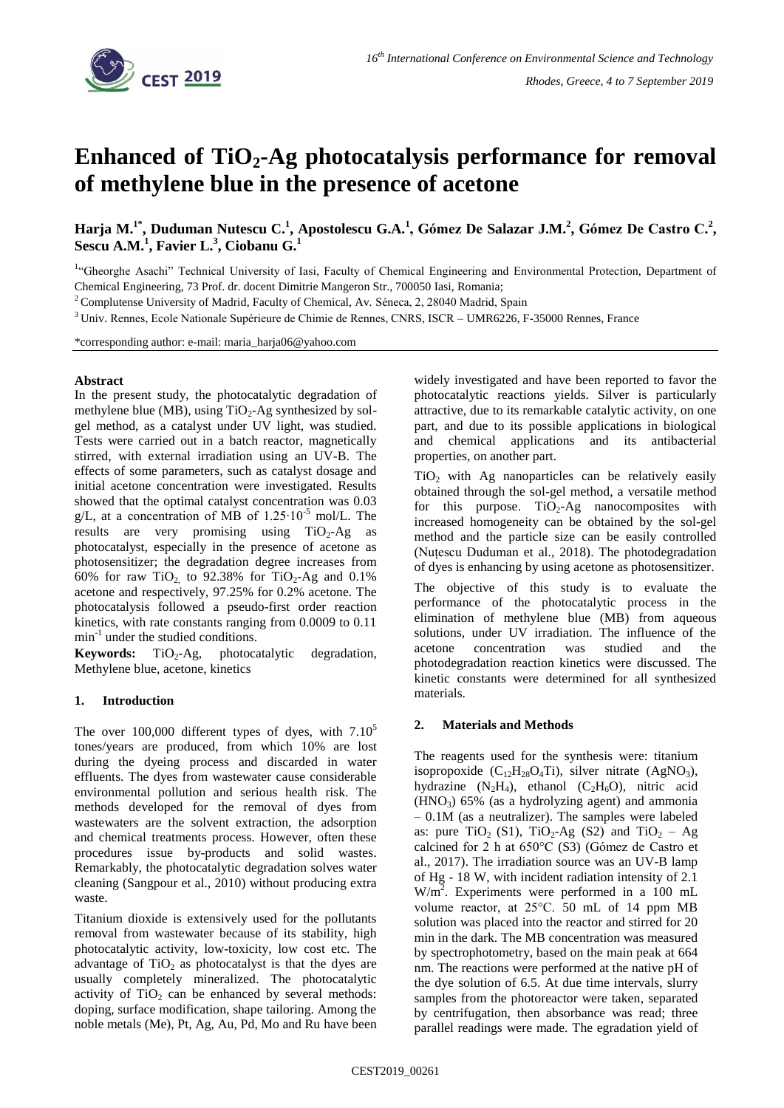

# **Enhanced of TiO2-Ag photocatalysis performance for removal of methylene blue in the presence of acetone**

**Harja M.1\*, Duduman Nutescu C.<sup>1</sup> , Apostolescu G.A.<sup>1</sup> , Gómez De Salazar J.M.<sup>2</sup> , Gómez De Castro C.<sup>2</sup> , Sescu A.M.<sup>1</sup> , Favier L.<sup>3</sup> , Ciobanu G.<sup>1</sup>**

<sup>1</sup>"Gheorghe Asachi" Technical University of Iasi, Faculty of Chemical Engineering and Environmental Protection, Department of Chemical Engineering, 73 Prof. dr. docent Dimitrie Mangeron Str., 700050 Iasi, Romania;

<sup>2</sup> Complutense University of Madrid, Faculty of Chemical, Av. Séneca, 2, 28040 Madrid, Spain

<sup>3</sup> Univ. Rennes, Ecole Nationale Supérieure de Chimie de Rennes, CNRS, ISCR - UMR6226, F-35000 Rennes, France

\*corresponding author: e-mail: maria\_harja06@yahoo.com

#### **Abstract**

In the present study, the photocatalytic degradation of methylene blue (MB), using  $TiO<sub>2</sub>-Ag$  synthesized by solgel method, as a catalyst under UV light, was studied. Tests were carried out in a batch reactor, magnetically stirred, with external irradiation using an UV-B. The effects of some parameters, such as catalyst dosage and initial acetone concentration were investigated. Results showed that the optimal catalyst concentration was 0.03 g/L, at a concentration of MB of 1.25⋅10<sup>-5</sup> mol/L. The results are very promising using  $TiO<sub>2</sub>-Ag$  as photocatalyst, especially in the presence of acetone as photosensitizer; the degradation degree increases from 60% for raw TiO<sub>2</sub>, to 92.38% for TiO<sub>2</sub>-Ag and 0.1% acetone and respectively, 97.25% for 0.2% acetone. The photocatalysis followed a pseudo-first order reaction kinetics, with rate constants ranging from 0.0009 to 0.11 min-1 under the studied conditions.

Keywords: TiO<sub>2</sub>-Ag, photocatalytic degradation, Methylene blue, acetone, kinetics

# **1. Introduction**

The over 100,000 different types of dyes, with  $7.10<sup>5</sup>$ tones/years are produced, from which 10% are lost during the dyeing process and discarded in water effluents. The dyes from wastewater cause considerable environmental pollution and serious health risk. The methods developed for the removal of dyes from wastewaters are the solvent extraction, the adsorption and chemical treatments process. However, often these procedures issue by-products and solid wastes. Remarkably, the photocatalytic degradation solves water cleaning (Sangpour et al., 2010) without producing extra waste.

Titanium dioxide is extensively used for the pollutants removal from wastewater because of its stability, high photocatalytic activity, low-toxicity, low cost etc. The advantage of  $TiO<sub>2</sub>$  as photocatalyst is that the dyes are usually completely mineralized. The photocatalytic activity of  $TiO<sub>2</sub>$  can be enhanced by several methods: doping, surface modification, shape tailoring. Among the noble metals (Me), Pt, Ag, Au, Pd, Mo and Ru have been widely investigated and have been reported to favor the photocatalytic reactions yields. Silver is particularly attractive, due to its remarkable catalytic activity, on one part, and due to its possible applications in biological and chemical applications and its antibacterial properties, on another part.

 $TiO<sub>2</sub>$  with Ag nanoparticles can be relatively easily obtained through the sol-gel method, a versatile method for this purpose.  $TiO<sub>2</sub>-Ag$  nanocomposites with increased homogeneity can be obtained by the sol-gel method and the particle size can be easily controlled (Nuțescu Duduman et al., 2018). The photodegradation of dyes is enhancing by using acetone as photosensitizer.

The objective of this study is to evaluate the performance of the photocatalytic process in the elimination of methylene blue (MB) from aqueous solutions, under UV irradiation. The influence of the acetone concentration was studied and the photodegradation reaction kinetics were discussed. The kinetic constants were determined for all synthesized materials.

# **2. Materials and Methods**

The reagents used for the synthesis were: titanium isopropoxide  $(C_{12}H_{28}O_4Ti)$ , silver nitrate  $(AgNO_3)$ , hydrazine  $(N_2H_4)$ , ethanol  $(C_2H_6O)$ , nitric acid  $(HNO<sub>3</sub>)$  65% (as a hydrolyzing agent) and ammonia – 0.1M (as a neutralizer). The samples were labeled as: pure  $TiO<sub>2</sub>$  (S1),  $TiO<sub>2</sub>-Ag$  (S2) and  $TiO<sub>2</sub> - Ag$ calcined for 2 h at 650°C (S3) (Gómez de Castro et al., 2017). The irradiation source was an UV-B lamp of Hg - 18 W, with incident radiation intensity of 2.1 W/m<sup>2</sup>. Experiments were performed in a 100 mL volume reactor, at 25°C. 50 mL of 14 ppm MB solution was placed into the reactor and stirred for 20 min in the dark. The MB concentration was measured by spectrophotometry, based on the main peak at 664 nm. The reactions were performed at the native pH of the dye solution of 6.5. At due time intervals, slurry samples from the photoreactor were taken, separated by centrifugation, then absorbance was read; three parallel readings were made. The egradation yield of